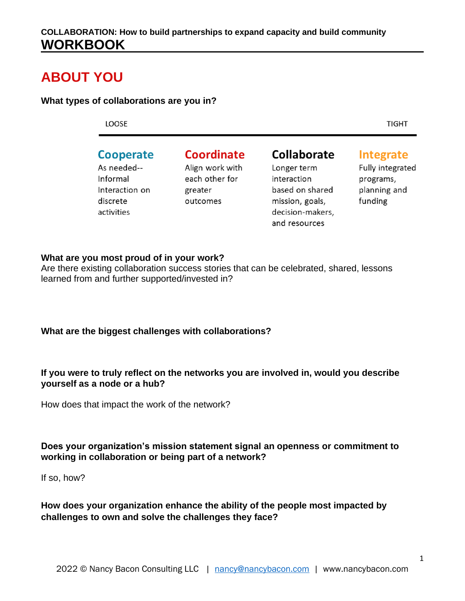### **ABOUT YOU**

#### **What types of collaborations are you in?**

LOOSE

**TIGHT** 

### **Cooperate**

As needed--Informal Interaction on discrete activities

Coordinate Align work with each other for greater outcomes

### Collaborate

Longer term interaction based on shared mission, goals, decision-makers, and resources

**Integrate** 

Fully integrated programs, planning and funding

#### **What are you most proud of in your work?**

Are there existing collaboration success stories that can be celebrated, shared, lessons learned from and further supported/invested in?

#### **What are the biggest challenges with collaborations?**

#### **If you were to truly reflect on the networks you are involved in, would you describe yourself as a node or a hub?**

How does that impact the work of the network?

#### **Does your organization's mission statement signal an openness or commitment to working in collaboration or being part of a network?**

If so, how?

**How does your organization enhance the ability of the people most impacted by challenges to own and solve the challenges they face?**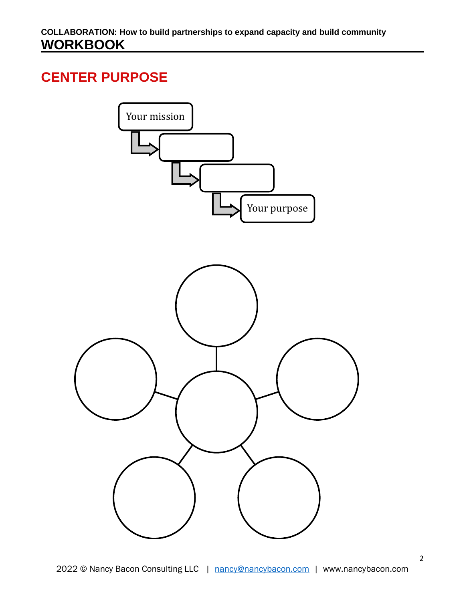### **CENTER PURPOSE**

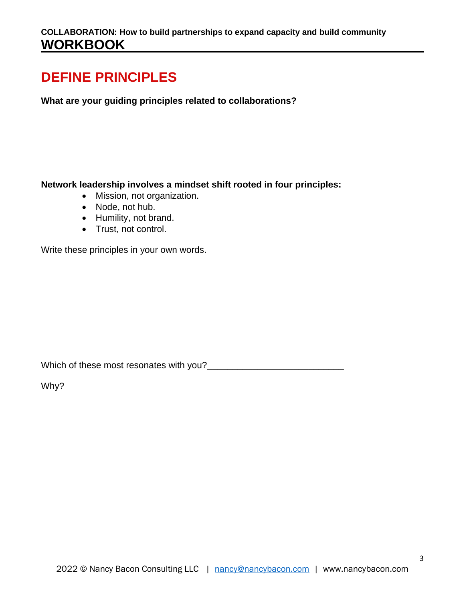### **DEFINE PRINCIPLES**

**What are your guiding principles related to collaborations?**

**Network leadership involves a mindset shift rooted in four principles:**

- Mission, not organization.
- Node, not hub.
- Humility, not brand.
- Trust, not control.

Write these principles in your own words.

Which of these most resonates with you?\_\_\_\_\_\_\_\_\_\_\_\_\_\_\_\_\_\_\_\_\_\_\_\_\_\_\_

Why?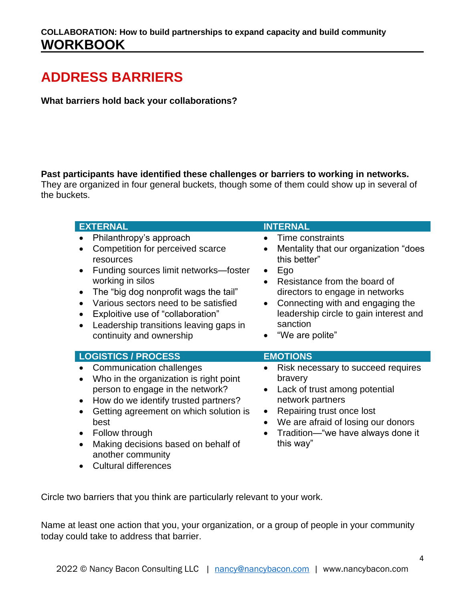# **ADDRESS BARRIERS**

**What barriers hold back your collaborations?**

**Past participants have identified these challenges or barriers to working in networks.** 

They are organized in four general buckets, though some of them could show up in several of the buckets.

| <b>EXTERNAL</b>                                                                                                                                                                                                                                                                                                                                                                                                 | <b>INTERNAL</b>                                                                                                                                                                                                                                                                                                      |
|-----------------------------------------------------------------------------------------------------------------------------------------------------------------------------------------------------------------------------------------------------------------------------------------------------------------------------------------------------------------------------------------------------------------|----------------------------------------------------------------------------------------------------------------------------------------------------------------------------------------------------------------------------------------------------------------------------------------------------------------------|
| Philanthropy's approach<br>Competition for perceived scarce<br>$\bullet$<br>resources<br>Funding sources limit networks-foster<br>$\bullet$<br>working in silos<br>The "big dog nonprofit wags the tail"<br>$\bullet$<br>Various sectors need to be satisfied<br>$\bullet$<br>Exploitive use of "collaboration"<br>$\bullet$<br>Leadership transitions leaving gaps in<br>$\bullet$<br>continuity and ownership | Time constraints<br>Mentality that our organization "does<br>$\bullet$<br>this better"<br>Ego<br>$\bullet$<br>Resistance from the board of<br>$\bullet$<br>directors to engage in networks<br>Connecting with and engaging the<br>$\bullet$<br>leadership circle to gain interest and<br>sanction<br>"We are polite" |
| <b>LOGISTICS / PROCESS</b>                                                                                                                                                                                                                                                                                                                                                                                      | <b>EMOTIONS</b>                                                                                                                                                                                                                                                                                                      |
| Communication challenges<br>Who in the organization is right point<br>$\bullet$<br>person to engage in the network?<br>How do we identify trusted partners?<br>$\bullet$<br>Getting agreement on which solution is<br>$\bullet$<br>best<br>Follow through                                                                                                                                                       | Risk necessary to succeed requires<br>bravery<br>Lack of trust among potential<br>$\bullet$<br>network partners<br>Repairing trust once lost<br>$\bullet$<br>We are afraid of losing our donors<br>$\bullet$                                                                                                         |

Circle two barriers that you think are particularly relevant to your work.

Name at least one action that you, your organization, or a group of people in your community today could take to address that barrier.